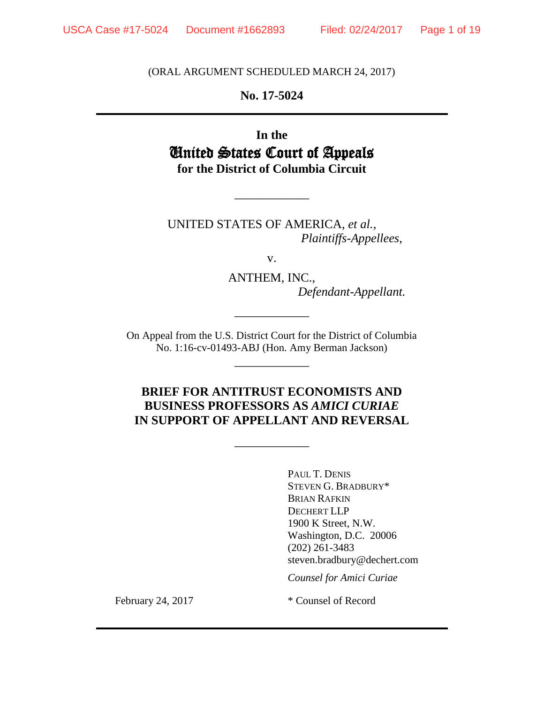(ORAL ARGUMENT SCHEDULED MARCH 24, 2017)

**No. 17-5024**

**In the** United States Court of Appeals **for the District of Columbia Circuit**

\_\_\_\_\_\_\_\_\_\_\_\_

UNITED STATES OF AMERICA, *et al.*, *Plaintiffs-Appellees*,

v.

ANTHEM, INC., *Defendant-Appellant.*

On Appeal from the U.S. District Court for the District of Columbia No. 1:16-cv-01493-ABJ (Hon. Amy Berman Jackson)

\_\_\_\_\_\_\_\_\_\_\_\_

\_\_\_\_\_\_\_\_\_\_\_\_

## **BRIEF FOR ANTITRUST ECONOMISTS AND BUSINESS PROFESSORS AS** *AMICI CURIAE* **IN SUPPORT OF APPELLANT AND REVERSAL**

\_\_\_\_\_\_\_\_\_\_\_\_

PAUL T. DENIS STEVEN G. BRADBURY\* BRIAN RAFKIN DECHERT LLP 1900 K Street, N.W. Washington, D.C. 20006 (202) 261-3483 steven.bradbury@dechert.com

*Counsel for Amici Curiae*

February 24, 2017 \* Counsel of Record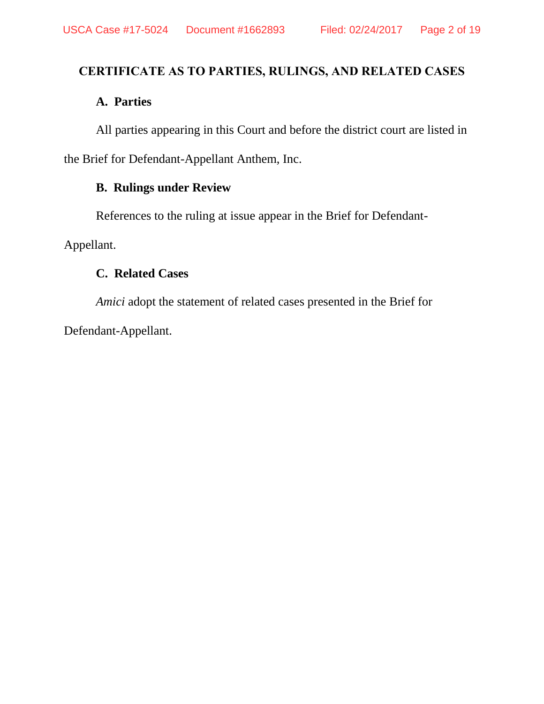# **CERTIFICATE AS TO PARTIES, RULINGS, AND RELATED CASES**

# **A. Parties**

All parties appearing in this Court and before the district court are listed in the Brief for Defendant-Appellant Anthem, Inc.

# **B. Rulings under Review**

References to the ruling at issue appear in the Brief for Defendant-

Appellant.

# **C. Related Cases**

*Amici* adopt the statement of related cases presented in the Brief for Defendant-Appellant.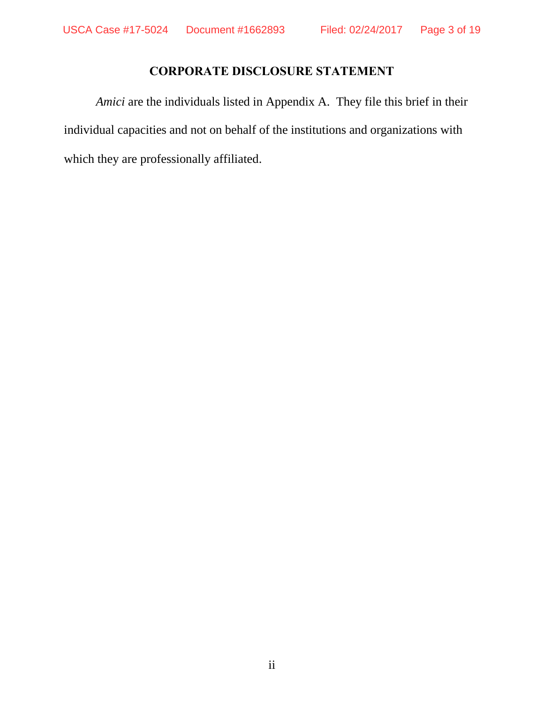# **CORPORATE DISCLOSURE STATEMENT**

*Amici* are the individuals listed in Appendix A. They file this brief in their individual capacities and not on behalf of the institutions and organizations with which they are professionally affiliated.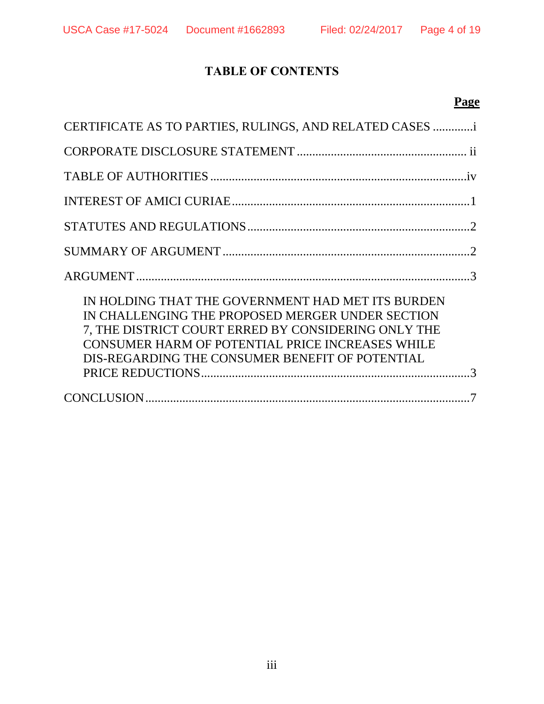# **TABLE OF CONTENTS**

# **Page**

| CERTIFICATE AS TO PARTIES, RULINGS, AND RELATED CASES                                                                                                                                                                                                               |
|---------------------------------------------------------------------------------------------------------------------------------------------------------------------------------------------------------------------------------------------------------------------|
|                                                                                                                                                                                                                                                                     |
|                                                                                                                                                                                                                                                                     |
|                                                                                                                                                                                                                                                                     |
|                                                                                                                                                                                                                                                                     |
|                                                                                                                                                                                                                                                                     |
|                                                                                                                                                                                                                                                                     |
| IN HOLDING THAT THE GOVERNMENT HAD MET ITS BURDEN<br>IN CHALLENGING THE PROPOSED MERGER UNDER SECTION<br>7, THE DISTRICT COURT ERRED BY CONSIDERING ONLY THE<br>CONSUMER HARM OF POTENTIAL PRICE INCREASES WHILE<br>DIS-REGARDING THE CONSUMER BENEFIT OF POTENTIAL |
|                                                                                                                                                                                                                                                                     |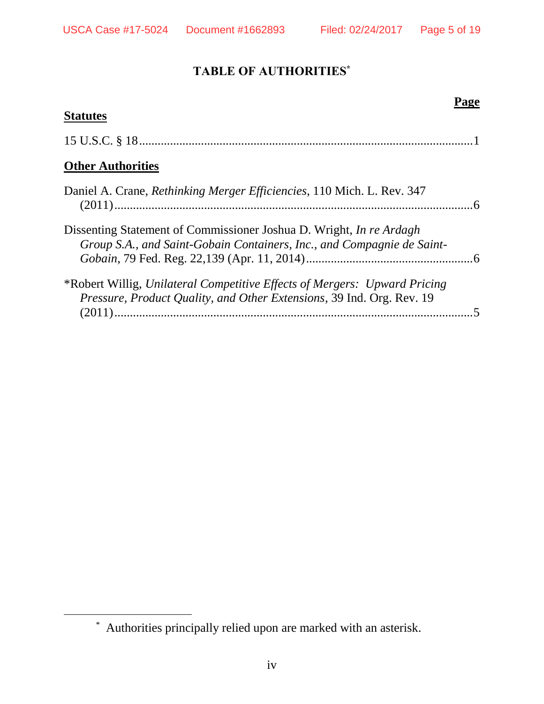$\overline{a}$ 

# **TABLE OF AUTHORITIES\***

# **Page Statutes** 15 U.S.C. § 18............................................................................................................1 **Other Authorities** Daniel A. Crane, *Rethinking Merger Efficiencies*, 110 Mich. L. Rev. 347 (2011)....................................................................................................................6 Dissenting Statement of Commissioner Joshua D. Wright, *In re Ardagh Group S.A., and Saint-Gobain Containers, Inc., and Compagnie de Saint-Gobain*, 79 Fed. Reg. 22,139 (Apr. 11, 2014)......................................................6 \*Robert Willig, *Unilateral Competitive Effects of Mergers: Upward Pricing Pressure, Product Quality, and Other Extensions*, 39 Ind. Org. Rev. 19 (2011)....................................................................................................................5

<sup>\*</sup> Authorities principally relied upon are marked with an asterisk.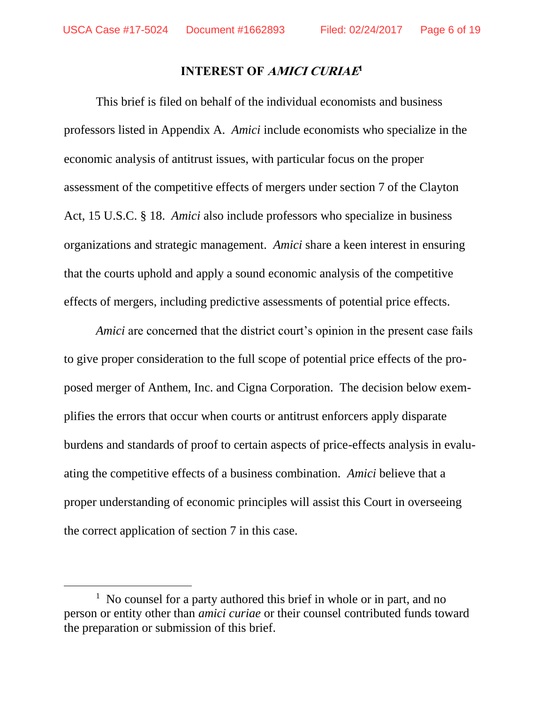$\overline{a}$ 

#### **INTEREST OF AMICI CURIAE 1**

This brief is filed on behalf of the individual economists and business professors listed in Appendix A. *Amici* include economists who specialize in the economic analysis of antitrust issues, with particular focus on the proper assessment of the competitive effects of mergers under section 7 of the Clayton Act, 15 U.S.C. § 18. *Amici* also include professors who specialize in business organizations and strategic management. *Amici* share a keen interest in ensuring that the courts uphold and apply a sound economic analysis of the competitive effects of mergers, including predictive assessments of potential price effects.

*Amici* are concerned that the district court's opinion in the present case fails to give proper consideration to the full scope of potential price effects of the proposed merger of Anthem, Inc. and Cigna Corporation. The decision below exemplifies the errors that occur when courts or antitrust enforcers apply disparate burdens and standards of proof to certain aspects of price-effects analysis in evaluating the competitive effects of a business combination. *Amici* believe that a proper understanding of economic principles will assist this Court in overseeing the correct application of section 7 in this case.

<sup>&</sup>lt;sup>1</sup> No counsel for a party authored this brief in whole or in part, and no person or entity other than *amici curiae* or their counsel contributed funds toward the preparation or submission of this brief.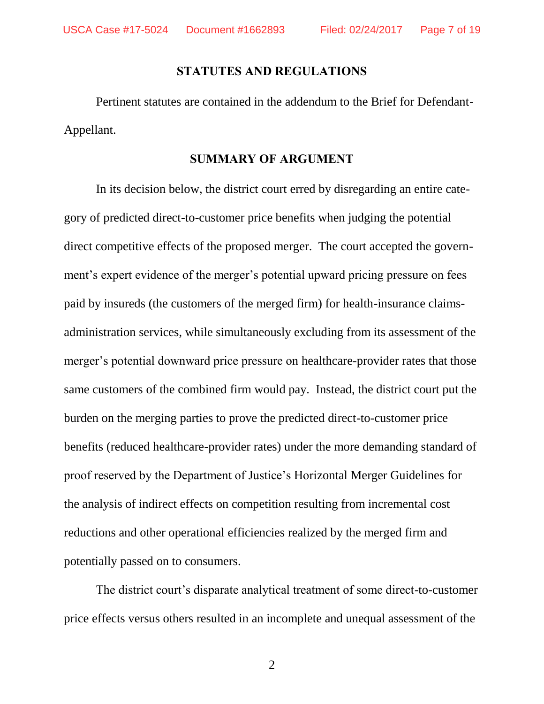#### **STATUTES AND REGULATIONS**

Pertinent statutes are contained in the addendum to the Brief for Defendant-Appellant.

#### **SUMMARY OF ARGUMENT**

In its decision below, the district court erred by disregarding an entire category of predicted direct-to-customer price benefits when judging the potential direct competitive effects of the proposed merger. The court accepted the government's expert evidence of the merger's potential upward pricing pressure on fees paid by insureds (the customers of the merged firm) for health-insurance claimsadministration services, while simultaneously excluding from its assessment of the merger's potential downward price pressure on healthcare-provider rates that those same customers of the combined firm would pay. Instead, the district court put the burden on the merging parties to prove the predicted direct-to-customer price benefits (reduced healthcare-provider rates) under the more demanding standard of proof reserved by the Department of Justice's Horizontal Merger Guidelines for the analysis of indirect effects on competition resulting from incremental cost reductions and other operational efficiencies realized by the merged firm and potentially passed on to consumers.

The district court's disparate analytical treatment of some direct-to-customer price effects versus others resulted in an incomplete and unequal assessment of the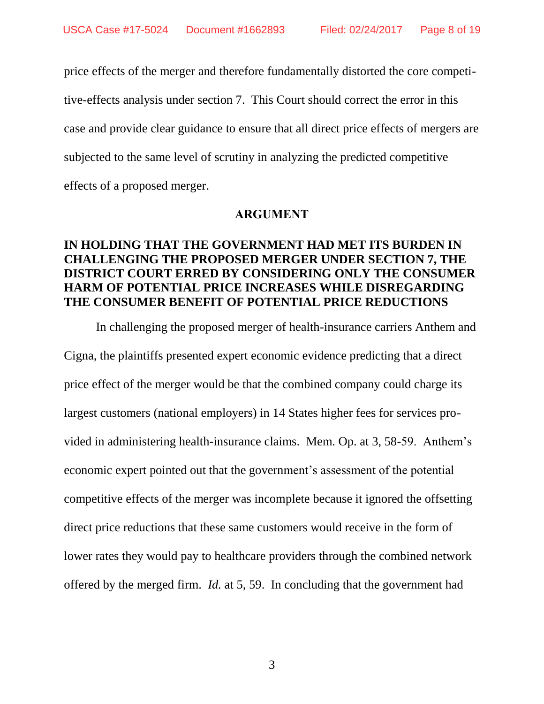price effects of the merger and therefore fundamentally distorted the core competitive-effects analysis under section 7. This Court should correct the error in this case and provide clear guidance to ensure that all direct price effects of mergers are subjected to the same level of scrutiny in analyzing the predicted competitive effects of a proposed merger.

#### **ARGUMENT**

# **IN HOLDING THAT THE GOVERNMENT HAD MET ITS BURDEN IN CHALLENGING THE PROPOSED MERGER UNDER SECTION 7, THE DISTRICT COURT ERRED BY CONSIDERING ONLY THE CONSUMER HARM OF POTENTIAL PRICE INCREASES WHILE DISREGARDING THE CONSUMER BENEFIT OF POTENTIAL PRICE REDUCTIONS**

In challenging the proposed merger of health-insurance carriers Anthem and Cigna, the plaintiffs presented expert economic evidence predicting that a direct price effect of the merger would be that the combined company could charge its largest customers (national employers) in 14 States higher fees for services provided in administering health-insurance claims. Mem. Op. at 3, 58-59. Anthem's economic expert pointed out that the government's assessment of the potential competitive effects of the merger was incomplete because it ignored the offsetting direct price reductions that these same customers would receive in the form of lower rates they would pay to healthcare providers through the combined network offered by the merged firm. *Id.* at 5, 59. In concluding that the government had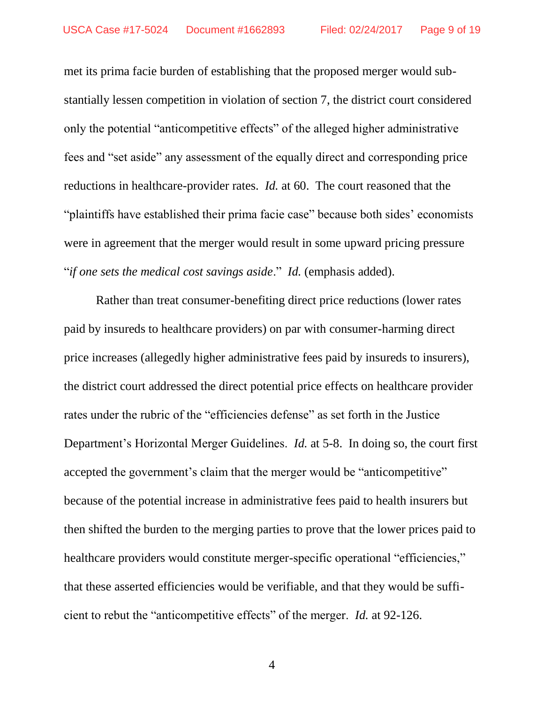met its prima facie burden of establishing that the proposed merger would substantially lessen competition in violation of section 7, the district court considered only the potential "anticompetitive effects" of the alleged higher administrative fees and "set aside" any assessment of the equally direct and corresponding price reductions in healthcare-provider rates. *Id.* at 60. The court reasoned that the "plaintiffs have established their prima facie case" because both sides' economists were in agreement that the merger would result in some upward pricing pressure "*if one sets the medical cost savings aside*." *Id.* (emphasis added).

Rather than treat consumer-benefiting direct price reductions (lower rates paid by insureds to healthcare providers) on par with consumer-harming direct price increases (allegedly higher administrative fees paid by insureds to insurers), the district court addressed the direct potential price effects on healthcare provider rates under the rubric of the "efficiencies defense" as set forth in the Justice Department's Horizontal Merger Guidelines. *Id.* at 5-8. In doing so, the court first accepted the government's claim that the merger would be "anticompetitive" because of the potential increase in administrative fees paid to health insurers but then shifted the burden to the merging parties to prove that the lower prices paid to healthcare providers would constitute merger-specific operational "efficiencies," that these asserted efficiencies would be verifiable, and that they would be sufficient to rebut the "anticompetitive effects" of the merger. *Id.* at 92-126.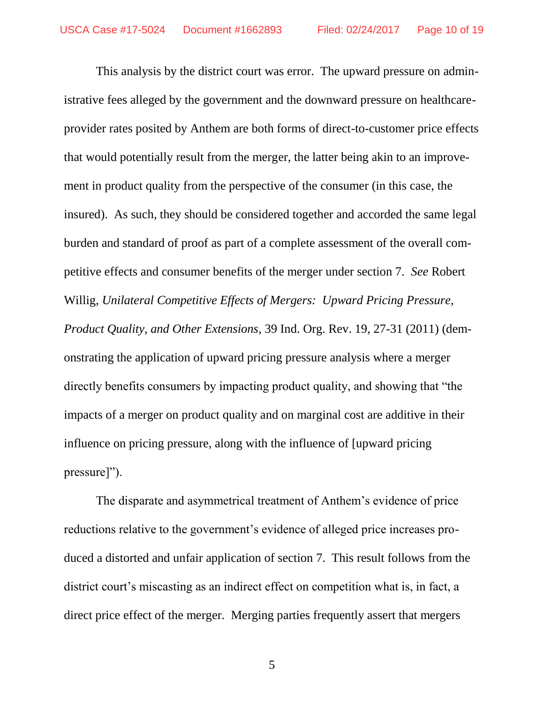This analysis by the district court was error. The upward pressure on administrative fees alleged by the government and the downward pressure on healthcareprovider rates posited by Anthem are both forms of direct-to-customer price effects that would potentially result from the merger, the latter being akin to an improvement in product quality from the perspective of the consumer (in this case, the insured). As such, they should be considered together and accorded the same legal burden and standard of proof as part of a complete assessment of the overall competitive effects and consumer benefits of the merger under section 7. *See* Robert Willig, *Unilateral Competitive Effects of Mergers: Upward Pricing Pressure, Product Quality, and Other Extensions*, 39 Ind. Org. Rev. 19, 27-31 (2011) (demonstrating the application of upward pricing pressure analysis where a merger directly benefits consumers by impacting product quality, and showing that "the impacts of a merger on product quality and on marginal cost are additive in their influence on pricing pressure, along with the influence of [upward pricing pressure]").

The disparate and asymmetrical treatment of Anthem's evidence of price reductions relative to the government's evidence of alleged price increases produced a distorted and unfair application of section 7. This result follows from the district court's miscasting as an indirect effect on competition what is, in fact, a direct price effect of the merger. Merging parties frequently assert that mergers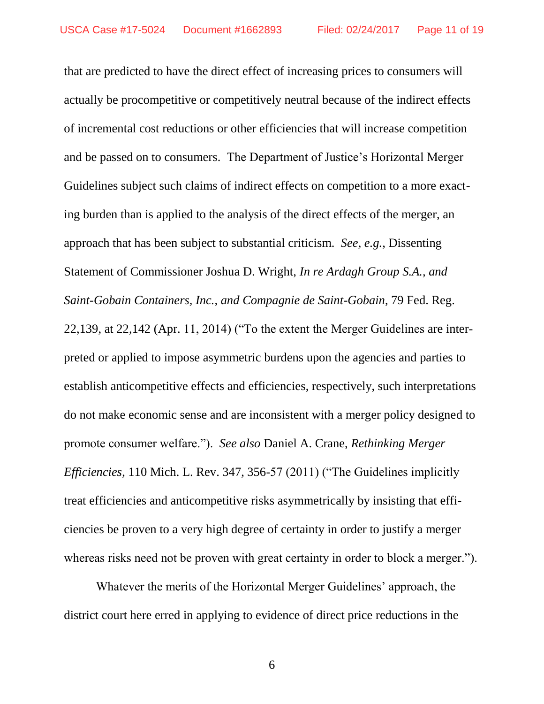that are predicted to have the direct effect of increasing prices to consumers will actually be procompetitive or competitively neutral because of the indirect effects of incremental cost reductions or other efficiencies that will increase competition and be passed on to consumers. The Department of Justice's Horizontal Merger Guidelines subject such claims of indirect effects on competition to a more exacting burden than is applied to the analysis of the direct effects of the merger, an approach that has been subject to substantial criticism. *See, e.g.*, Dissenting Statement of Commissioner Joshua D. Wright, *In re Ardagh Group S.A., and Saint-Gobain Containers, Inc., and Compagnie de Saint-Gobain*, 79 Fed. Reg. 22,139, at 22,142 (Apr. 11, 2014) ("To the extent the Merger Guidelines are interpreted or applied to impose asymmetric burdens upon the agencies and parties to establish anticompetitive effects and efficiencies, respectively, such interpretations do not make economic sense and are inconsistent with a merger policy designed to promote consumer welfare."). *See also* Daniel A. Crane, *Rethinking Merger Efficiencies*, 110 Mich. L. Rev. 347, 356-57 (2011) ("The Guidelines implicitly treat efficiencies and anticompetitive risks asymmetrically by insisting that efficiencies be proven to a very high degree of certainty in order to justify a merger whereas risks need not be proven with great certainty in order to block a merger.").

Whatever the merits of the Horizontal Merger Guidelines' approach, the district court here erred in applying to evidence of direct price reductions in the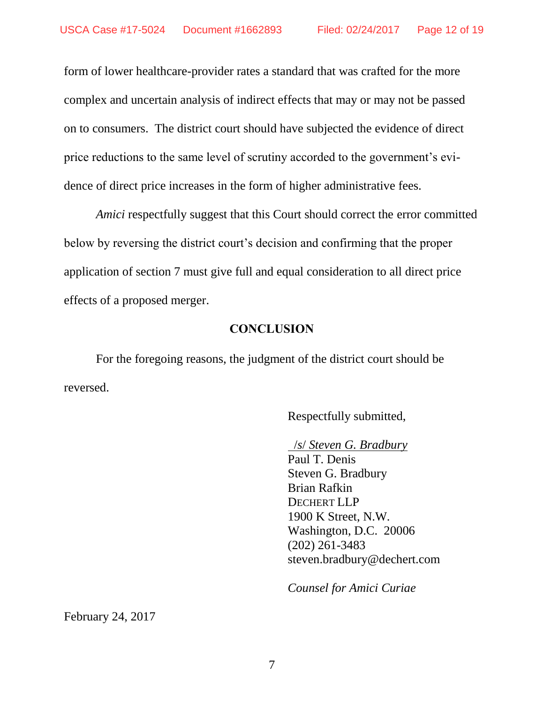form of lower healthcare-provider rates a standard that was crafted for the more complex and uncertain analysis of indirect effects that may or may not be passed on to consumers. The district court should have subjected the evidence of direct price reductions to the same level of scrutiny accorded to the government's evidence of direct price increases in the form of higher administrative fees.

*Amici* respectfully suggest that this Court should correct the error committed below by reversing the district court's decision and confirming that the proper application of section 7 must give full and equal consideration to all direct price effects of a proposed merger.

#### **CONCLUSION**

For the foregoing reasons, the judgment of the district court should be reversed.

Respectfully submitted,

/*s*/ *Steven G. Bradbury* 

Paul T. Denis Steven G. Bradbury Brian Rafkin DECHERT LLP 1900 K Street, N.W. Washington, D.C. 20006 (202) 261-3483 steven.bradbury@dechert.com

*Counsel for Amici Curiae*

February 24, 2017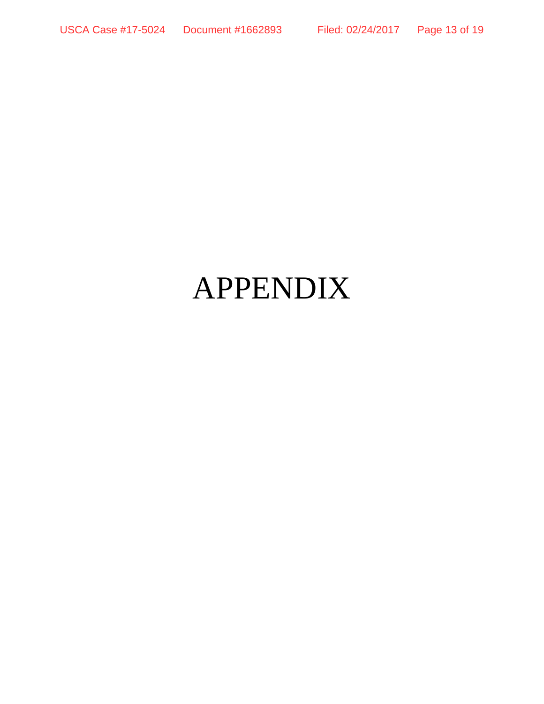# APPENDIX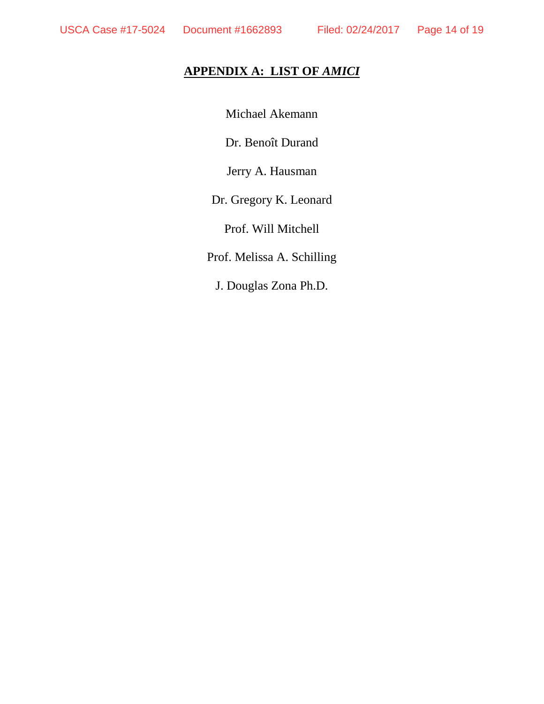# **APPENDIX A: LIST OF** *AMICI*

Michael Akemann

Dr. Benoît Durand

Jerry A. Hausman

Dr. Gregory K. Leonard

Prof. Will Mitchell

Prof. Melissa A. Schilling

J. Douglas Zona Ph.D.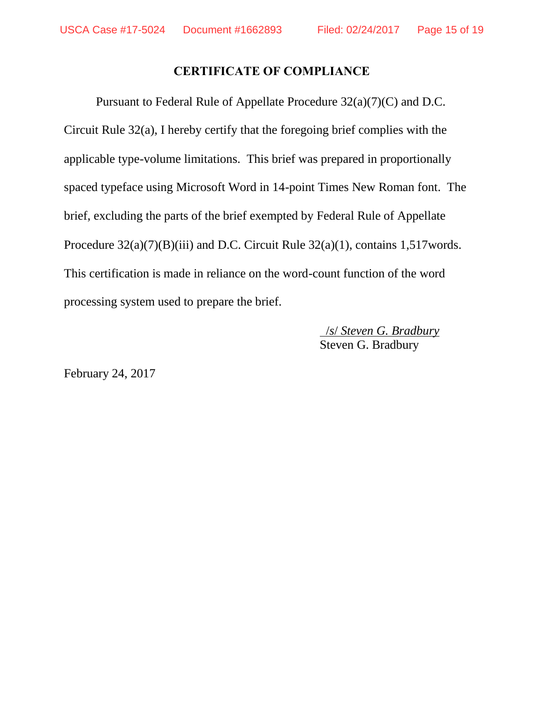# **CERTIFICATE OF COMPLIANCE**

Pursuant to Federal Rule of Appellate Procedure 32(a)(7)(C) and D.C. Circuit Rule 32(a), I hereby certify that the foregoing brief complies with the applicable type-volume limitations. This brief was prepared in proportionally spaced typeface using Microsoft Word in 14-point Times New Roman font. The brief, excluding the parts of the brief exempted by Federal Rule of Appellate Procedure  $32(a)(7)(B)(iii)$  and D.C. Circuit Rule  $32(a)(1)$ , contains 1,517 words. This certification is made in reliance on the word-count function of the word processing system used to prepare the brief.

> /*s*/ *Steven G. Bradbury*  Steven G. Bradbury

February 24, 2017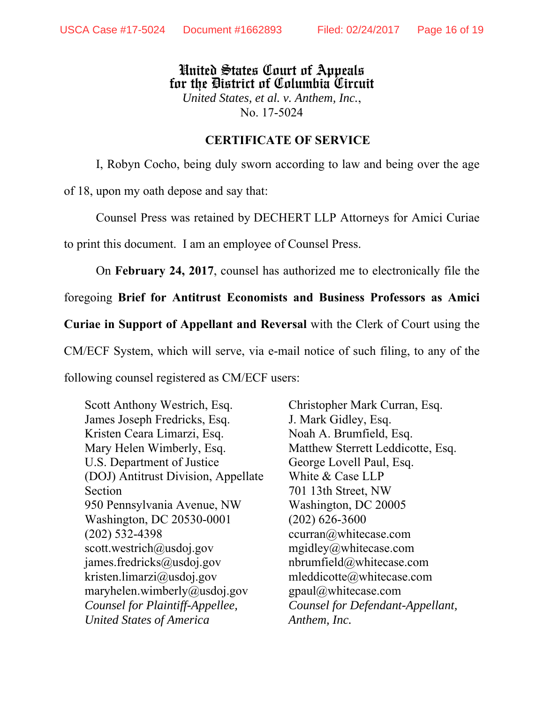## United States Court of Appeals for the District of Columbia Circuit *United States, et al. v. Anthem, Inc.*, No. 17-5024

#### **CERTIFICATE OF SERVICE**

I, Robyn Cocho, being duly sworn according to law and being over the age of 18, upon my oath depose and say that:

Counsel Press was retained by DECHERT LLP Attorneys for Amici Curiae to print this document. I am an employee of Counsel Press.

On **February 24, 2017**, counsel has authorized me to electronically file the

foregoing **Brief for Antitrust Economists and Business Professors as Amici Curiae in Support of Appellant and Reversal** with the Clerk of Court using the

CM/ECF System, which will serve, via e-mail notice of such filing, to any of the following counsel registered as CM/ECF users:

Scott Anthony Westrich, Esq. James Joseph Fredricks, Esq. Kristen Ceara Limarzi, Esq. Mary Helen Wimberly, Esq. U.S. Department of Justice (DOJ) Antitrust Division, Appellate Section 950 Pennsylvania Avenue, NW Washington, DC 20530-0001 (202) 532-4398 scott.westrich@usdoj.gov james.fredricks@usdoj.gov kristen.limarzi@usdoj.gov maryhelen.wimberly@usdoj.gov *Counsel for Plaintiff-Appellee, United States of America*

Christopher Mark Curran, Esq. J. Mark Gidley, Esq. Noah A. Brumfield, Esq. Matthew Sterrett Leddicotte, Esq. George Lovell Paul, Esq. White & Case LLP 701 13th Street, NW Washington, DC 20005 (202) 626-3600 ccurran@whitecase.com mgidley@whitecase.com nbrumfield@whitecase.com mleddicotte@whitecase.com gpaul@whitecase.com *Counsel for Defendant-Appellant, Anthem, Inc.*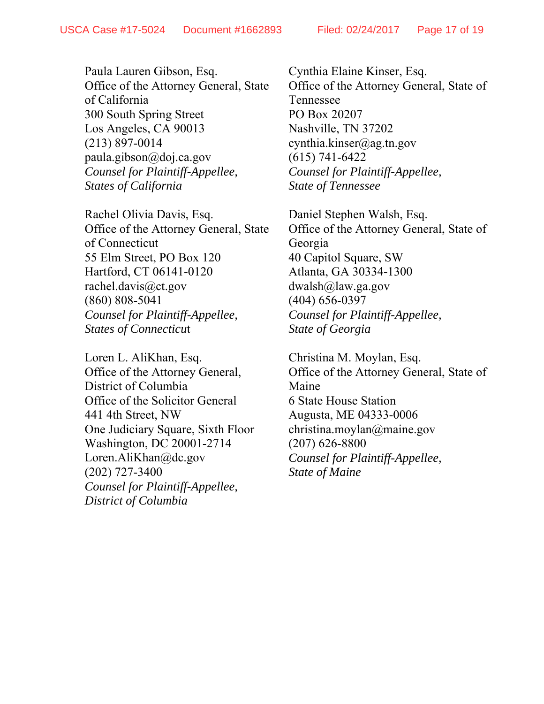Paula Lauren Gibson, Esq. Office of the Attorney General, State of California 300 South Spring Street Los Angeles, CA 90013 (213) 897-0014 paula.gibson@doj.ca.gov *Counsel for Plaintiff-Appellee, States of California* 

Rachel Olivia Davis, Esq. Office of the Attorney General, State of Connecticut 55 Elm Street, PO Box 120 Hartford, CT 06141-0120 rachel.davis@ct.gov (860) 808-5041 *Counsel for Plaintiff-Appellee, States of Connecticu*t

Loren L. AliKhan, Esq. Office of the Attorney General, District of Columbia Office of the Solicitor General 441 4th Street, NW One Judiciary Square, Sixth Floor Washington, DC 20001-2714 Loren.AliKhan@dc.gov (202) 727-3400 *Counsel for Plaintiff-Appellee, District of Columbia*

Cynthia Elaine Kinser, Esq. Office of the Attorney General, State of Tennessee PO Box 20207 Nashville, TN 37202 cynthia.kinser@ag.tn.gov (615) 741-6422 *Counsel for Plaintiff-Appellee, State of Tennessee*

Daniel Stephen Walsh, Esq. Office of the Attorney General, State of Georgia 40 Capitol Square, SW Atlanta, GA 30334-1300 dwalsh@law.ga.gov (404) 656-0397 *Counsel for Plaintiff-Appellee, State of Georgia*

Christina M. Moylan, Esq. Office of the Attorney General, State of Maine 6 State House Station Augusta, ME 04333-0006 christina.moylan@maine.gov (207) 626-8800 *Counsel for Plaintiff-Appellee, State of Maine*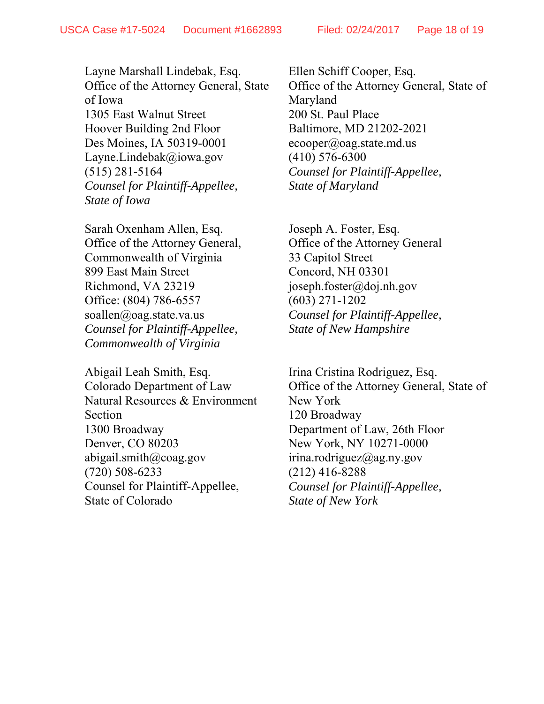Layne Marshall Lindebak, Esq. Office of the Attorney General, State of Iowa 1305 East Walnut Street Hoover Building 2nd Floor Des Moines, IA 50319-0001 Layne.Lindebak@iowa.gov (515) 281-5164 *Counsel for Plaintiff-Appellee, State of Iowa*

Sarah Oxenham Allen, Esq. Office of the Attorney General, Commonwealth of Virginia 899 East Main Street Richmond, VA 23219 Office: (804) 786-6557 soallen@oag.state.va.us *Counsel for Plaintiff-Appellee, Commonwealth of Virginia* 

Abigail Leah Smith, Esq. Colorado Department of Law Natural Resources & Environment Section 1300 Broadway Denver, CO 80203 abigail.smith@coag.gov (720) 508-6233 Counsel for Plaintiff-Appellee, State of Colorado

Ellen Schiff Cooper, Esq. Office of the Attorney General, State of Maryland 200 St. Paul Place Baltimore, MD 21202-2021  $ecooper(\omega)$ oag.state.md.us (410) 576-6300 *Counsel for Plaintiff-Appellee, State of Maryland*

Joseph A. Foster, Esq. Office of the Attorney General 33 Capitol Street Concord, NH 03301 joseph.foster@doj.nh.gov (603) 271-1202 *Counsel for Plaintiff-Appellee, State of New Hampshire*

Irina Cristina Rodriguez, Esq. Office of the Attorney General, State of New York 120 Broadway Department of Law, 26th Floor New York, NY 10271-0000 irina.rodriguez@ag.ny.gov (212) 416-8288 *Counsel for Plaintiff-Appellee, State of New York*